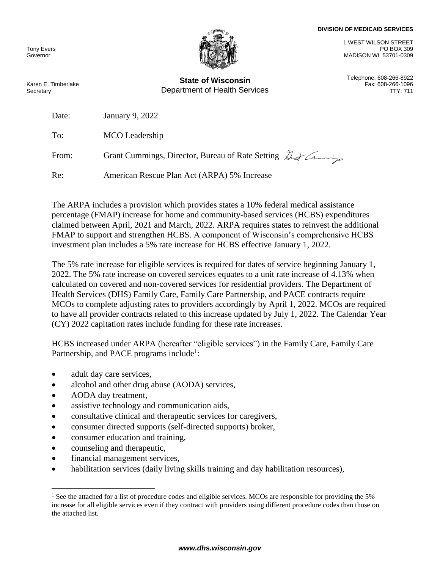## **DIVISION OF MEDICAID SERVICES**

Tony Evers Governor



**State of Wisconsin** Telephone: 608-266-8922 Department of Health Services TTY: 711

1 WEST WILSON STREET PO BOX 309 MADISON WI 53701-0309

Fax: 608-266-1096

Karen E. Timberlake **Secretary** 

Date: January 9, 2022

To: MCO Leadership

From: Grant Cummings, Director, Bureau of Rate Setting  $\mathcal{L}$ 

Re: American Rescue Plan Act (ARPA) 5% Increase

The ARPA includes a provision which provides states a 10% federal medical assistance percentage (FMAP) increase for home and community-based services (HCBS) expenditures claimed between April, 2021 and March, 2022. ARPA requires states to reinvest the additional FMAP to support and strengthen HCBS. A component of Wisconsin's comprehensive HCBS investment plan includes a 5% rate increase for HCBS effective January 1, 2022.

The 5% rate increase for eligible services is required for dates of service beginning January 1, 2022. The 5% rate increase on covered services equates to a unit rate increase of 4.13% when calculated on covered and non-covered services for residential providers. The Department of Health Services (DHS) Family Care, Family Care Partnership, and PACE contracts require MCOs to complete adjusting rates to providers accordingly by April 1, 2022. MCOs are required to have all provider contracts related to this increase updated by July 1, 2022. The Calendar Year (CY) 2022 capitation rates include funding for these rate increases.

HCBS increased under ARPA (hereafter "eligible services") in the Family Care, Family Care Partnership, and PACE programs include<sup>1</sup>:

- adult day care services,
- alcohol and other drug abuse (AODA) services,
- AODA day treatment,
- assistive technology and communication aids,
- consultative clinical and therapeutic services for caregivers,
- consumer directed supports (self-directed supports) broker,
- consumer education and training,
- counseling and therapeutic,

 $\overline{a}$ 

- financial management services,
- habilitation services (daily living skills training and day habilitation resources),

<sup>&</sup>lt;sup>1</sup> See the attached for a list of procedure codes and eligible services. MCOs are responsible for providing the 5% increase for all eligible services even if they contract with providers using different procedure codes than those on the attached list.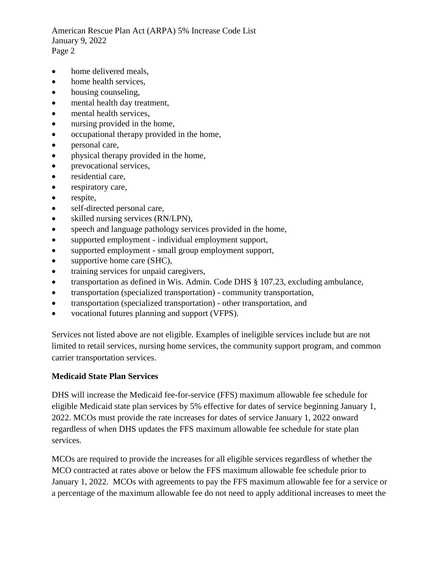American Rescue Plan Act (ARPA) 5% Increase Code List January 9, 2022 Page 2

- home delivered meals,
- home health services.
- housing counseling,
- mental health day treatment,
- mental health services,
- nursing provided in the home,
- occupational therapy provided in the home,
- personal care,
- physical therapy provided in the home,
- prevocational services,
- residential care,
- respiratory care,
- respite,
- self-directed personal care,
- skilled nursing services (RN/LPN),
- speech and language pathology services provided in the home,
- supported employment individual employment support,
- supported employment small group employment support,
- supportive home care (SHC),
- training services for unpaid caregivers,
- transportation as defined in Wis. Admin. Code DHS § 107.23, excluding ambulance,
- transportation (specialized transportation) community transportation,
- transportation (specialized transportation) other transportation, and
- vocational futures planning and support (VFPS).

Services not listed above are not eligible. Examples of ineligible services include but are not limited to retail services, nursing home services, the community support program, and common carrier transportation services.

## **Medicaid State Plan Services**

DHS will increase the Medicaid fee-for-service (FFS) maximum allowable fee schedule for eligible Medicaid state plan services by 5% effective for dates of service beginning January 1, 2022. MCOs must provide the rate increases for dates of service January 1, 2022 onward regardless of when DHS updates the FFS maximum allowable fee schedule for state plan services.

MCOs are required to provide the increases for all eligible services regardless of whether the MCO contracted at rates above or below the FFS maximum allowable fee schedule prior to January 1, 2022. MCOs with agreements to pay the FFS maximum allowable fee for a service or a percentage of the maximum allowable fee do not need to apply additional increases to meet the